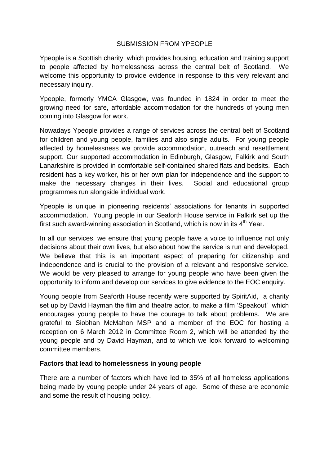## SUBMISSION FROM YPEOPLE

Ypeople is a Scottish charity, which provides housing, education and training support to people affected by homelessness across the central belt of Scotland. We welcome this opportunity to provide evidence in response to this very relevant and necessary inquiry.

Ypeople, formerly YMCA Glasgow, was founded in 1824 in order to meet the growing need for safe, affordable accommodation for the hundreds of young men coming into Glasgow for work.

Nowadays Ypeople provides a range of services across the central belt of Scotland for children and young people, families and also single adults. For young people affected by homelessness we provide accommodation, outreach and resettlement support. Our supported accommodation in Edinburgh, Glasgow, Falkirk and South Lanarkshire is provided in comfortable self-contained shared flats and bedsits. Each resident has a key worker, his or her own plan for independence and the support to make the necessary changes in their lives. Social and educational group programmes run alongside individual work.

Ypeople is unique in pioneering residents' associations for tenants in supported accommodation. Young people in our Seaforth House service in Falkirk set up the first such award-winning association in Scotland, which is now in its  $4<sup>th</sup>$  Year.

In all our services, we ensure that young people have a voice to influence not only decisions about their own lives, but also about how the service is run and developed. We believe that this is an important aspect of preparing for citizenship and independence and is crucial to the provision of a relevant and responsive service. We would be very pleased to arrange for young people who have been given the opportunity to inform and develop our services to give evidence to the EOC enquiry.

Young people from Seaforth House recently were supported by SpiritAid, a charity set up by David Hayman the film and theatre actor, to make a film 'Speakout' which encourages young people to have the courage to talk about problems. We are grateful to Siobhan McMahon MSP and a member of the EOC for hosting a reception on 6 March 2012 in Committee Room 2, which will be attended by the young people and by David Hayman, and to which we look forward to welcoming committee members.

#### **Factors that lead to homelessness in young people**

There are a number of factors which have led to 35% of all homeless applications being made by young people under 24 years of age. Some of these are economic and some the result of housing policy.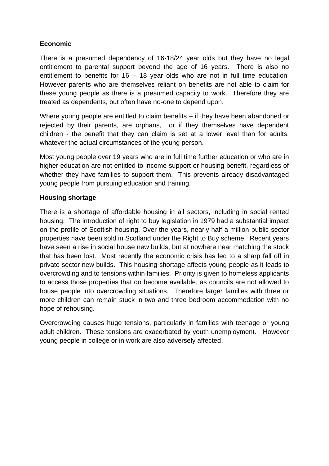# **Economic**

There is a presumed dependency of 16-18/24 year olds but they have no legal entitlement to parental support beyond the age of 16 years. There is also no entitlement to benefits for 16 – 18 year olds who are not in full time education. However parents who are themselves reliant on benefits are not able to claim for these young people as there is a presumed capacity to work. Therefore they are treated as dependents, but often have no-one to depend upon.

Where young people are entitled to claim benefits – if they have been abandoned or rejected by their parents, are orphans, or if they themselves have dependent children - the benefit that they can claim is set at a lower level than for adults, whatever the actual circumstances of the young person.

Most young people over 19 years who are in full time further education or who are in higher education are not entitled to income support or housing benefit, regardless of whether they have families to support them. This prevents already disadvantaged young people from pursuing education and training.

# **Housing shortage**

There is a shortage of affordable housing in all sectors, including in social rented housing. The introduction of right to buy legislation in 1979 had a substantial impact on the profile of Scottish housing. Over the years, nearly half a million public sector properties have been sold in Scotland under the Right to Buy scheme. Recent years have seen a rise in social house new builds, but at nowhere near matching the stock that has been lost. Most recently the economic crisis has led to a sharp fall off in private sector new builds. This housing shortage affects young people as it leads to overcrowding and to tensions within families. Priority is given to homeless applicants to access those properties that do become available, as councils are not allowed to house people into overcrowding situations. Therefore larger families with three or more children can remain stuck in two and three bedroom accommodation with no hope of rehousing.

Overcrowding causes huge tensions, particularly in families with teenage or young adult children. These tensions are exacerbated by youth unemployment. However young people in college or in work are also adversely affected.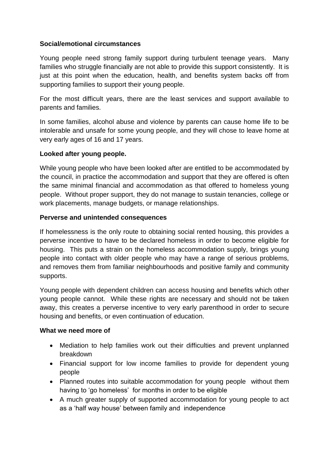# **Social/emotional circumstances**

Young people need strong family support during turbulent teenage years. Many families who struggle financially are not able to provide this support consistently. It is just at this point when the education, health, and benefits system backs off from supporting families to support their young people.

For the most difficult years, there are the least services and support available to parents and families.

In some families, alcohol abuse and violence by parents can cause home life to be intolerable and unsafe for some young people, and they will chose to leave home at very early ages of 16 and 17 years.

## **Looked after young people.**

While young people who have been looked after are entitled to be accommodated by the council, in practice the accommodation and support that they are offered is often the same minimal financial and accommodation as that offered to homeless young people. Without proper support, they do not manage to sustain tenancies, college or work placements, manage budgets, or manage relationships.

#### **Perverse and unintended consequences**

If homelessness is the only route to obtaining social rented housing, this provides a perverse incentive to have to be declared homeless in order to become eligible for housing. This puts a strain on the homeless accommodation supply, brings young people into contact with older people who may have a range of serious problems, and removes them from familiar neighbourhoods and positive family and community supports.

Young people with dependent children can access housing and benefits which other young people cannot. While these rights are necessary and should not be taken away, this creates a perverse incentive to very early parenthood in order to secure housing and benefits, or even continuation of education.

#### **What we need more of**

- Mediation to help families work out their difficulties and prevent unplanned breakdown
- Financial support for low income families to provide for dependent young people
- Planned routes into suitable accommodation for young people without them having to 'go homeless' for months in order to be eligible
- A much greater supply of supported accommodation for young people to act as a 'half way house' between family and independence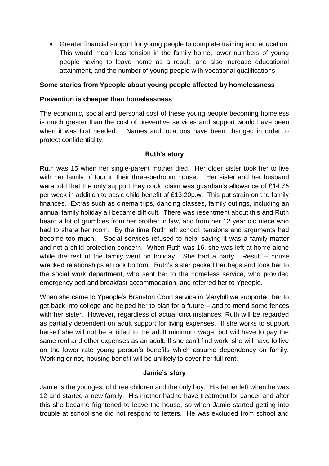Greater financial support for young people to complete training and education. This would mean less tension in the family home, lower numbers of young people having to leave home as a result, and also increase educational attainment, and the number of young people with vocational qualifications.

# **Some stories from Ypeople about young people affected by homelessness**

### **Prevention is cheaper than homelessness**

The economic, social and personal cost of these young people becoming homeless is much greater than the cost of preventive services and support would have been when it was first needed. Names and locations have been changed in order to protect confidentiality.

## **Ruth's story**

Ruth was 15 when her single-parent mother died. Her older sister took her to live with her family of four in their three-bedroom house. Her sister and her husband were told that the only support they could claim was guardian's allowance of £14.75 per week in addition to basic child benefit of £13.20p.w. This put strain on the family finances. Extras such as cinema trips, dancing classes, family outings, including an annual family holiday all became difficult. There was resentment about this and Ruth heard a lot of grumbles from her brother in law, and from her 12 year old niece who had to share her room. By the time Ruth left school, tensions and arguments had become too much. Social services refused to help, saying it was a family matter and not a child protection concern. When Ruth was 16, she was left at home alone while the rest of the family went on holiday. She had a party. Result – house wrecked relationships at rock bottom. Ruth's sister packed her bags and took her to the social work department, who sent her to the homeless service, who provided emergency bed and breakfast accommodation, and referred her to Ypeople.

When she came to Ypeople's Branston Court service in Maryhill we supported her to get back into college and helped her to plan for a future – and to mend some fences with her sister. However, regardless of actual circumstances, Ruth will be regarded as partially dependent on adult support for living expenses. If she works to support herself she will not be entitled to the adult minimum wage, but will have to pay the same rent and other expenses as an adult. If she can't find work, she will have to live on the lower rate young person's benefits which assume dependency on family. Working or not, housing benefit will be unlikely to cover her full rent.

#### **Jamie's story**

Jamie is the youngest of three children and the only boy. His father left when he was 12 and started a new family. His mother had to have treatment for cancer and after this she became frightened to leave the house, so when Jamie started getting into trouble at school she did not respond to letters. He was excluded from school and